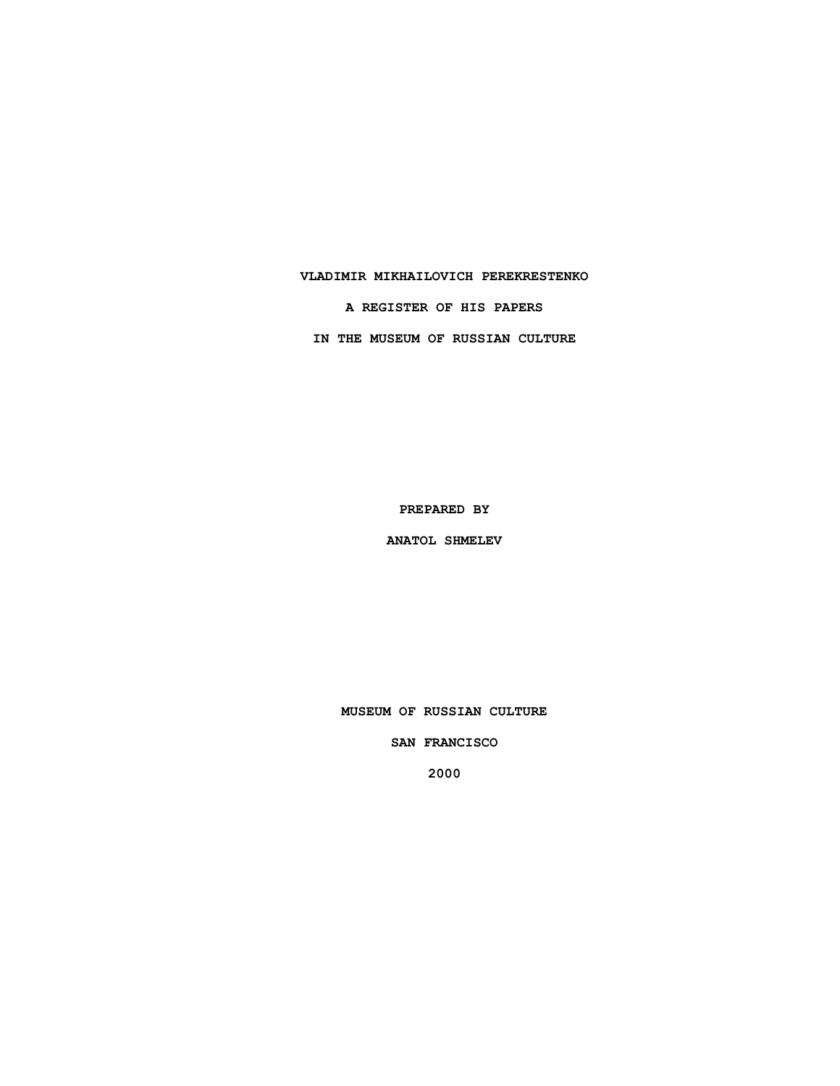### **VLADIMIR MIKHAILOVICH PEREKRESTENKO**

**A REGISTER OF HIS PAPERS**

**IN THE MUSEUM OF RUSSIAN CULTURE**

**PREPARED BY**

**ANATOL SHMELEV**

**MUSEUM OF RUSSIAN CULTURE**

**SAN FRANCISCO**

**2000**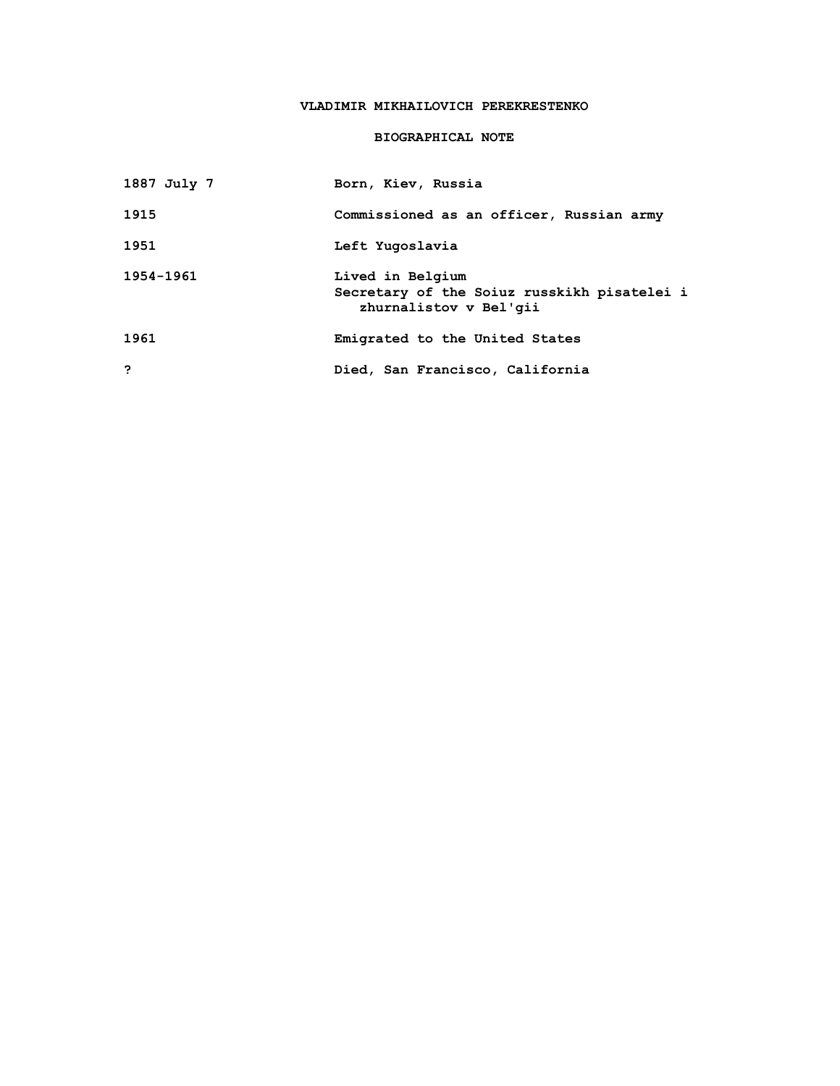# **VLADIMIR MIKHAILOVICH PEREKRESTENKO**

## **BIOGRAPHICAL NOTE**

| 1887 July 7 | Born, Kiev, Russia                                                                        |
|-------------|-------------------------------------------------------------------------------------------|
| 1915        | Commissioned as an officer, Russian army                                                  |
| 1951        | Left Yugoslavia                                                                           |
| 1954-1961   | Lived in Belgium<br>Secretary of the Soiuz russkikh pisatelei i<br>zhurnalistov v Bel'gii |
| 1961        | Emigrated to the United States                                                            |
| っ           | Died, San Francisco, California                                                           |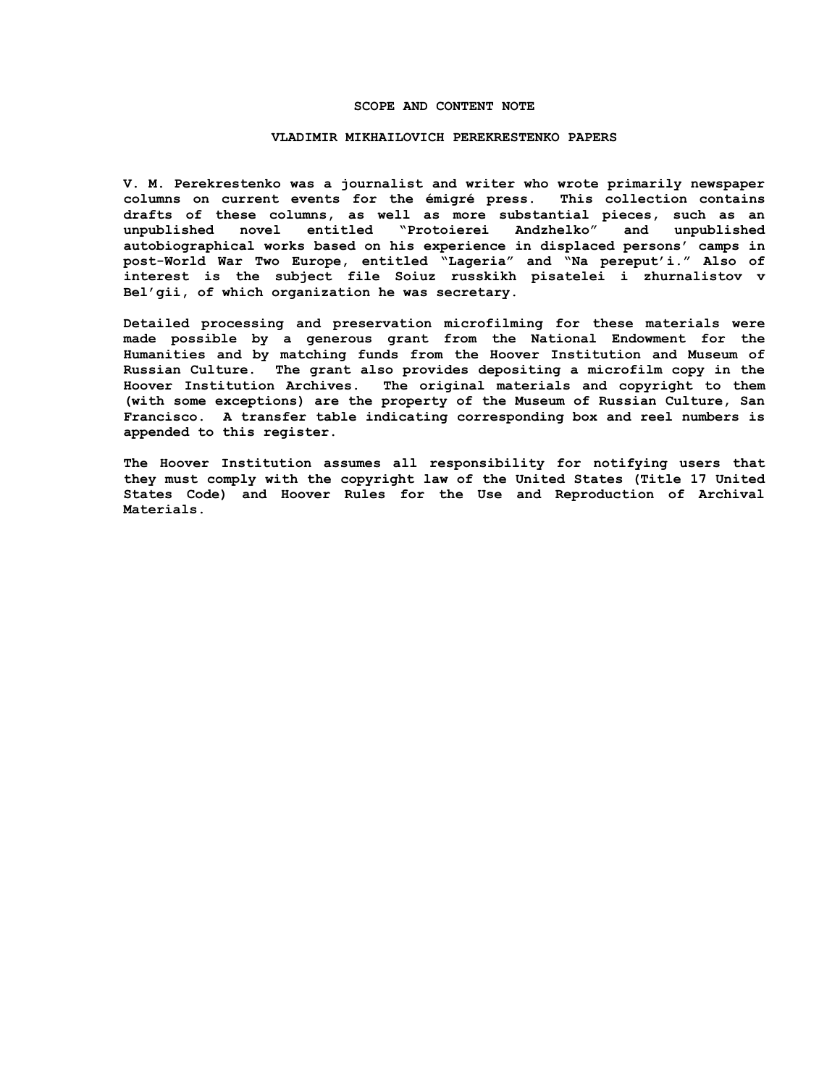### **SCOPE AND CONTENT NOTE**

#### **VLADIMIR MIKHAILOVICH PEREKRESTENKO PAPERS**

**V. M. Perekrestenko was a journalist and writer who wrote primarily newspaper columns on current events for the émigré press. This collection contains drafts of these columns, as well as more substantial pieces, such as an unpublished novel entitled "Protoierei Andzhelko" and unpublished autobiographical works based on his experience in displaced persons' camps in post-World War Two Europe, entitled "Lageria" and "Na pereput'i." Also of interest is the subject file Soiuz russkikh pisatelei i zhurnalistov v Bel'gii, of which organization he was secretary.**

**Detailed processing and preservation microfilming for these materials were made possible by a generous grant from the National Endowment for the Humanities and by matching funds from the Hoover Institution and Museum of Russian Culture. The grant also provides depositing a microfilm copy in the Hoover Institution Archives. The original materials and copyright to them (with some exceptions) are the property of the Museum of Russian Culture, San Francisco. A transfer table indicating corresponding box and reel numbers is appended to this register.**

**The Hoover Institution assumes all responsibility for notifying users that they must comply with the copyright law of the United States (Title 17 United States Code) and Hoover Rules for the Use and Reproduction of Archival Materials.**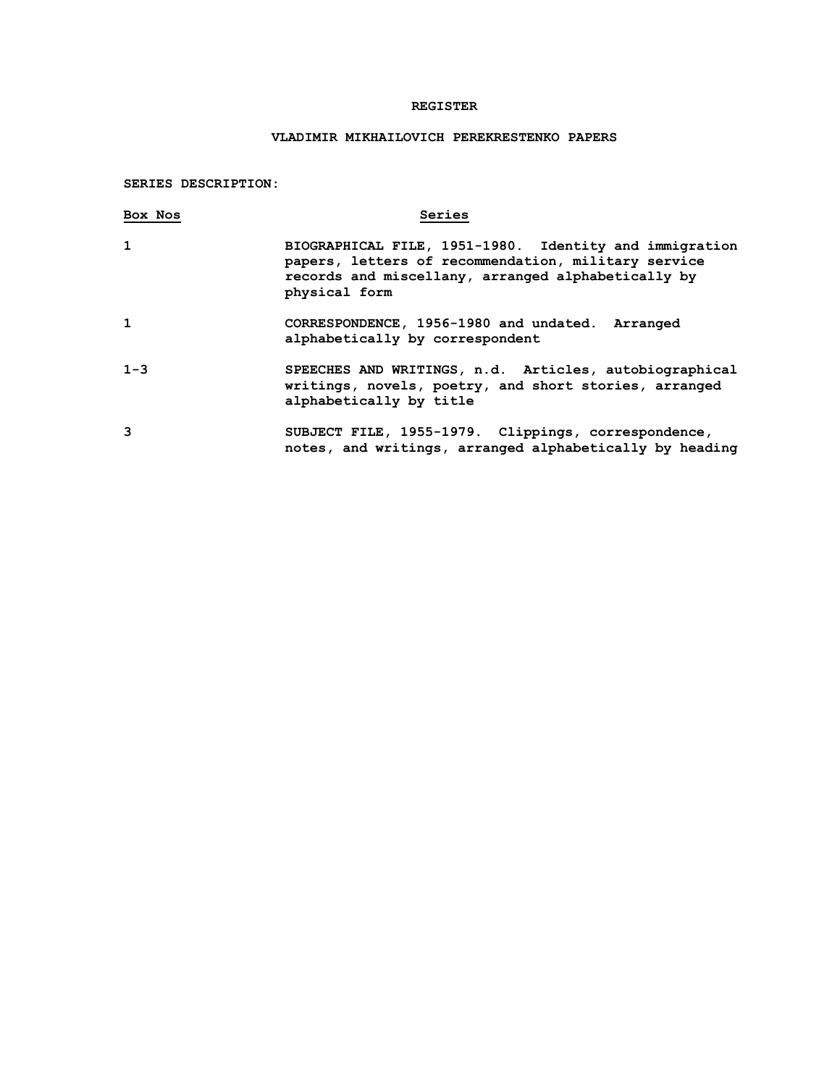### **REGISTER**

# **VLADIMIR MIKHAILOVICH PEREKRESTENKO PAPERS**

### **SERIES DESCRIPTION:**

| Box Nos      | Series                                                                                                                                                                               |
|--------------|--------------------------------------------------------------------------------------------------------------------------------------------------------------------------------------|
| $\mathbf{1}$ | BIOGRAPHICAL FILE, 1951-1980. Identity and immigration<br>papers, letters of recommendation, military service<br>records and miscellany, arranged alphabetically by<br>physical form |
| $\mathbf{1}$ | CORRESPONDENCE, 1956-1980 and undated. Arranged<br>alphabetically by correspondent                                                                                                   |
| $1 - 3$      | SPEECHES AND WRITINGS, n.d. Articles, autobiographical<br>writings, novels, poetry, and short stories, arranged<br>alphabetically by title                                           |
| 3            | SUBJECT FILE, 1955-1979. Clippings, correspondence,<br>notes, and writings, arranged alphabetically by heading                                                                       |